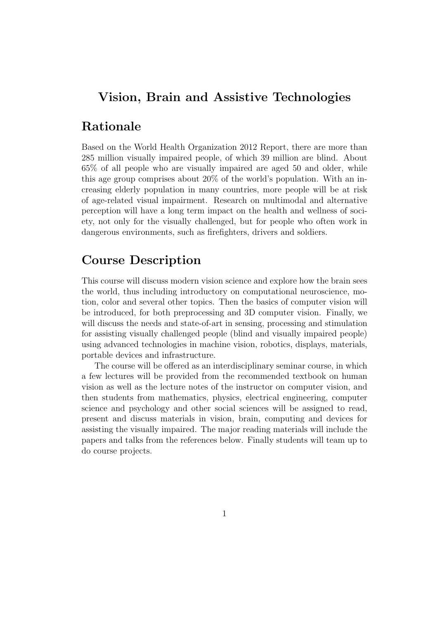## Vision, Brain and Assistive Technologies

## Rationale

Based on the World Health Organization 2012 Report, there are more than 285 million visually impaired people, of which 39 million are blind. About 65% of all people who are visually impaired are aged 50 and older, while this age group comprises about 20% of the world's population. With an increasing elderly population in many countries, more people will be at risk of age-related visual impairment. Research on multimodal and alternative perception will have a long term impact on the health and wellness of society, not only for the visually challenged, but for people who often work in dangerous environments, such as firefighters, drivers and soldiers.

#### Course Description

This course will discuss modern vision science and explore how the brain sees the world, thus including introductory on computational neuroscience, motion, color and several other topics. Then the basics of computer vision will be introduced, for both preprocessing and 3D computer vision. Finally, we will discuss the needs and state-of-art in sensing, processing and stimulation for assisting visually challenged people (blind and visually impaired people) using advanced technologies in machine vision, robotics, displays, materials, portable devices and infrastructure.

The course will be offered as an interdisciplinary seminar course, in which a few lectures will be provided from the recommended textbook on human vision as well as the lecture notes of the instructor on computer vision, and then students from mathematics, physics, electrical engineering, computer science and psychology and other social sciences will be assigned to read, present and discuss materials in vision, brain, computing and devices for assisting the visually impaired. The major reading materials will include the papers and talks from the references below. Finally students will team up to do course projects.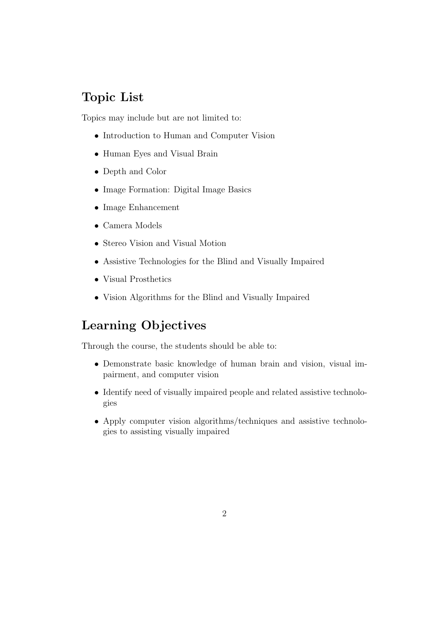## Topic List

Topics may include but are not limited to:

- Introduction to Human and Computer Vision
- Human Eyes and Visual Brain
- Depth and Color
- Image Formation: Digital Image Basics
- Image Enhancement
- Camera Models
- Stereo Vision and Visual Motion
- Assistive Technologies for the Blind and Visually Impaired
- Visual Prosthetics
- Vision Algorithms for the Blind and Visually Impaired

## Learning Objectives

Through the course, the students should be able to:

- Demonstrate basic knowledge of human brain and vision, visual impairment, and computer vision
- Identify need of visually impaired people and related assistive technologies
- Apply computer vision algorithms/techniques and assistive technologies to assisting visually impaired